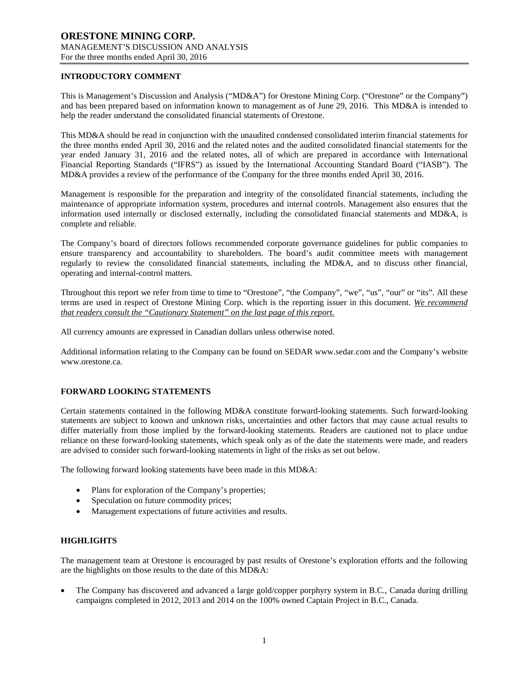## **INTRODUCTORY COMMENT**

This is Management's Discussion and Analysis ("MD&A") for Orestone Mining Corp. ("Orestone" or the Company") and has been prepared based on information known to management as of June 29, 2016. This MD&A is intended to help the reader understand the consolidated financial statements of Orestone.

This MD&A should be read in conjunction with the unaudited condensed consolidated interim financial statements for the three months ended April 30, 2016 and the related notes and the audited consolidated financial statements for the year ended January 31, 2016 and the related notes, all of which are prepared in accordance with International Financial Reporting Standards ("IFRS") as issued by the International Accounting Standard Board ("IASB"). The MD&A provides a review of the performance of the Company for the three months ended April 30, 2016.

Management is responsible for the preparation and integrity of the consolidated financial statements, including the maintenance of appropriate information system, procedures and internal controls. Management also ensures that the information used internally or disclosed externally, including the consolidated financial statements and MD&A, is complete and reliable.

The Company's board of directors follows recommended corporate governance guidelines for public companies to ensure transparency and accountability to shareholders. The board's audit committee meets with management regularly to review the consolidated financial statements, including the MD&A, and to discuss other financial, operating and internal-control matters.

Throughout this report we refer from time to time to "Orestone", "the Company", "we", "us", "our" or "its". All these terms are used in respect of Orestone Mining Corp. which is the reporting issuer in this document. *We recommend that readers consult the "Cautionary Statement" on the last page of this report.*

All currency amounts are expressed in Canadian dollars unless otherwise noted.

Additional information relating to the Company can be found on SEDAR www.sedar.com and the Company's website www.orestone.ca.

# **FORWARD LOOKING STATEMENTS**

Certain statements contained in the following MD&A constitute forward-looking statements. Such forward-looking statements are subject to known and unknown risks, uncertainties and other factors that may cause actual results to differ materially from those implied by the forward-looking statements. Readers are cautioned not to place undue reliance on these forward-looking statements, which speak only as of the date the statements were made, and readers are advised to consider such forward-looking statements in light of the risks as set out below.

The following forward looking statements have been made in this MD&A:

- Plans for exploration of the Company's properties;
- Speculation on future commodity prices;
- Management expectations of future activities and results.

# **HIGHLIGHTS**

The management team at Orestone is encouraged by past results of Orestone's exploration efforts and the following are the highlights on those results to the date of this MD&A:

• The Company has discovered and advanced a large gold/copper porphyry system in B.C., Canada during drilling campaigns completed in 2012, 2013 and 2014 on the 100% owned Captain Project in B.C., Canada.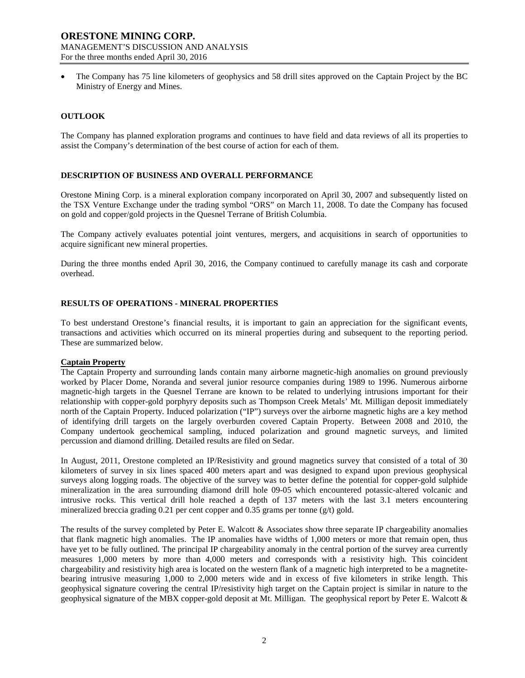• The Company has 75 line kilometers of geophysics and 58 drill sites approved on the Captain Project by the BC Ministry of Energy and Mines.

## **OUTLOOK**

The Company has planned exploration programs and continues to have field and data reviews of all its properties to assist the Company's determination of the best course of action for each of them.

## **DESCRIPTION OF BUSINESS AND OVERALL PERFORMANCE**

Orestone Mining Corp. is a mineral exploration company incorporated on April 30, 2007 and subsequently listed on the TSX Venture Exchange under the trading symbol "ORS" on March 11, 2008. To date the Company has focused on gold and copper/gold projects in the Quesnel Terrane of British Columbia.

The Company actively evaluates potential joint ventures, mergers, and acquisitions in search of opportunities to acquire significant new mineral properties.

During the three months ended April 30, 2016, the Company continued to carefully manage its cash and corporate overhead.

## **RESULTS OF OPERATIONS - MINERAL PROPERTIES**

To best understand Orestone's financial results, it is important to gain an appreciation for the significant events, transactions and activities which occurred on its mineral properties during and subsequent to the reporting period. These are summarized below.

#### **Captain Property**

The Captain Property and surrounding lands contain many airborne magnetic-high anomalies on ground previously worked by Placer Dome, Noranda and several junior resource companies during 1989 to 1996. Numerous airborne magnetic-high targets in the Quesnel Terrane are known to be related to underlying intrusions important for their relationship with copper-gold porphyry deposits such as Thompson Creek Metals' Mt. Milligan deposit immediately north of the Captain Property. Induced polarization ("IP") surveys over the airborne magnetic highs are a key method of identifying drill targets on the largely overburden covered Captain Property. Between 2008 and 2010, the Company undertook geochemical sampling, induced polarization and ground magnetic surveys, and limited percussion and diamond drilling. Detailed results are filed on Sedar.

In August, 2011, Orestone completed an IP/Resistivity and ground magnetics survey that consisted of a total of 30 kilometers of survey in six lines spaced 400 meters apart and was designed to expand upon previous geophysical surveys along logging roads. The objective of the survey was to better define the potential for copper-gold sulphide mineralization in the area surrounding diamond drill hole 09-05 which encountered potassic-altered volcanic and intrusive rocks. This vertical drill hole reached a depth of 137 meters with the last 3.1 meters encountering mineralized breccia grading 0.21 per cent copper and 0.35 grams per tonne (g/t) gold.

The results of the survey completed by Peter E. Walcott & Associates show three separate IP chargeability anomalies that flank magnetic high anomalies. The IP anomalies have widths of 1,000 meters or more that remain open, thus have yet to be fully outlined. The principal IP chargeability anomaly in the central portion of the survey area currently measures 1,000 meters by more than 4,000 meters and corresponds with a resistivity high. This coincident chargeability and resistivity high area is located on the western flank of a magnetic high interpreted to be a magnetitebearing intrusive measuring 1,000 to 2,000 meters wide and in excess of five kilometers in strike length. This geophysical signature covering the central IP/resistivity high target on the Captain project is similar in nature to the geophysical signature of the MBX copper-gold deposit at Mt. Milligan. The geophysical report by Peter E. Walcott &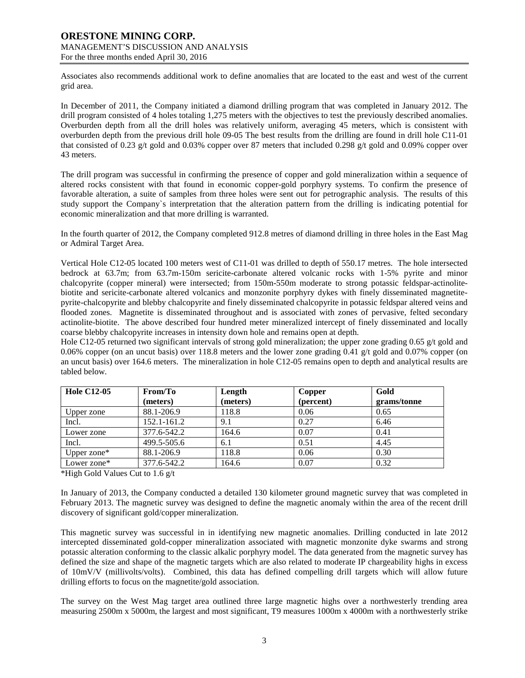Associates also recommends additional work to define anomalies that are located to the east and west of the current grid area.

In December of 2011, the Company initiated a diamond drilling program that was completed in January 2012. The drill program consisted of 4 holes totaling 1,275 meters with the objectives to test the previously described anomalies. Overburden depth from all the drill holes was relatively uniform, averaging 45 meters, which is consistent with overburden depth from the previous drill hole 09-05 The best results from the drilling are found in drill hole C11-01 that consisted of 0.23 g/t gold and 0.03% copper over 87 meters that included 0.298 g/t gold and 0.09% copper over 43 meters.

The drill program was successful in confirming the presence of copper and gold mineralization within a sequence of altered rocks consistent with that found in economic copper-gold porphyry systems. To confirm the presence of favorable alteration, a suite of samples from three holes were sent out for petrographic analysis. The results of this study support the Company`s interpretation that the alteration pattern from the drilling is indicating potential for economic mineralization and that more drilling is warranted.

In the fourth quarter of 2012, the Company completed 912.8 metres of diamond drilling in three holes in the East Mag or Admiral Target Area.

Vertical Hole C12-05 located 100 meters west of C11-01 was drilled to depth of 550.17 metres. The hole intersected bedrock at 63.7m; from 63.7m-150m sericite-carbonate altered volcanic rocks with 1-5% pyrite and minor chalcopyrite (copper mineral) were intersected; from 150m-550m moderate to strong potassic feldspar-actinolitebiotite and sericite-carbonate altered volcanics and monzonite porphyry dykes with finely disseminated magnetitepyrite-chalcopyrite and blebby chalcopyrite and finely disseminated chalcopyrite in potassic feldspar altered veins and flooded zones. Magnetite is disseminated throughout and is associated with zones of pervasive, felted secondary actinolite-biotite. The above described four hundred meter mineralized intercept of finely disseminated and locally coarse blebby chalcopyrite increases in intensity down hole and remains open at depth.

Hole C12-05 returned two significant intervals of strong gold mineralization; the upper zone grading 0.65 g/t gold and 0.06% copper (on an uncut basis) over 118.8 meters and the lower zone grading 0.41 g/t gold and 0.07% copper (on an uncut basis) over 164.6 meters. The mineralization in hole C12-05 remains open to depth and analytical results are tabled below.

| <b>Hole C12-05</b> | From/To     | Length   | Copper    | Gold        |
|--------------------|-------------|----------|-----------|-------------|
|                    | (meters)    | (meters) | (percent) | grams/tonne |
| Upper zone         | 88.1-206.9  | 118.8    | 0.06      | 0.65        |
| Incl.              | 152.1-161.2 | 9.1      | 0.27      | 6.46        |
| Lower zone         | 377.6-542.2 | 164.6    | 0.07      | 0.41        |
| Incl.              | 499.5-505.6 | 6.1      | 0.51      | 4.45        |
| Upper zone $*$     | 88.1-206.9  | 118.8    | 0.06      | 0.30        |
| Lower zone*        | 377.6-542.2 | 164.6    | 0.07      | 0.32        |

\*High Gold Values Cut to 1.6 g/t

In January of 2013, the Company conducted a detailed 130 kilometer ground magnetic survey that was completed in February 2013. The magnetic survey was designed to define the magnetic anomaly within the area of the recent drill discovery of significant gold/copper mineralization.

This magnetic survey was successful in in identifying new magnetic anomalies. Drilling conducted in late 2012 intercepted disseminated gold-copper mineralization associated with magnetic monzonite dyke swarms and strong potassic alteration conforming to the classic alkalic porphyry model. The data generated from the magnetic survey has defined the size and shape of the magnetic targets which are also related to moderate IP chargeability highs in excess of 10mV/V (millivolts/volts). Combined, this data has defined compelling drill targets which will allow future drilling efforts to focus on the magnetite/gold association.

The survey on the West Mag target area outlined three large magnetic highs over a northwesterly trending area measuring 2500m x 5000m, the largest and most significant, T9 measures 1000m x 4000m with a northwesterly strike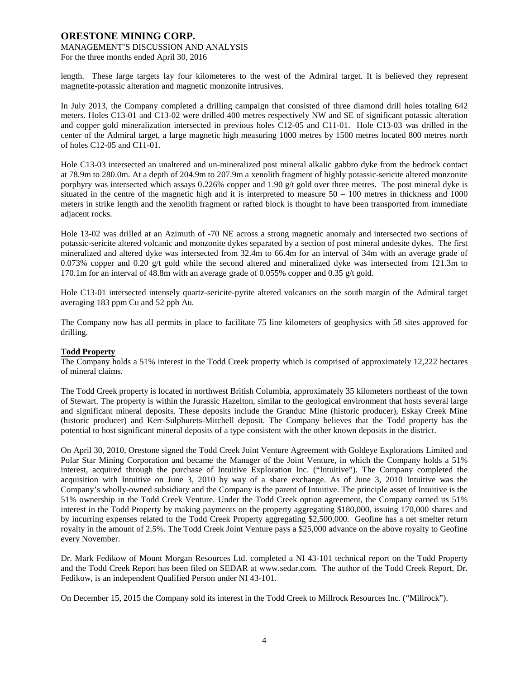length. These large targets lay four kilometeres to the west of the Admiral target. It is believed they represent magnetite-potassic alteration and magnetic monzonite intrusives.

In July 2013, the Company completed a drilling campaign that consisted of three diamond drill holes totaling 642 meters. Holes C13-01 and C13-02 were drilled 400 metres respectively NW and SE of significant potassic alteration and copper gold mineralization intersected in previous holes C12-05 and C11-01. Hole C13-03 was drilled in the center of the Admiral target, a large magnetic high measuring 1000 metres by 1500 metres located 800 metres north of holes C12-05 and C11-01.

Hole C13-03 intersected an unaltered and un-mineralized post mineral alkalic gabbro dyke from the bedrock contact at 78.9m to 280.0m. At a depth of 204.9m to 207.9m a xenolith fragment of highly potassic-sericite altered monzonite porphyry was intersected which assays 0.226% copper and 1.90 g/t gold over three metres. The post mineral dyke is situated in the centre of the magnetic high and it is interpreted to measure  $50 - 100$  metres in thickness and 1000 meters in strike length and the xenolith fragment or rafted block is thought to have been transported from immediate adjacent rocks.

Hole 13-02 was drilled at an Azimuth of -70 NE across a strong magnetic anomaly and intersected two sections of potassic-sericite altered volcanic and monzonite dykes separated by a section of post mineral andesite dykes. The first mineralized and altered dyke was intersected from 32.4m to 66.4m for an interval of 34m with an average grade of 0.073% copper and 0.20 g/t gold while the second altered and mineralized dyke was intersected from 121.3m to 170.1m for an interval of 48.8m with an average grade of 0.055% copper and 0.35 g/t gold.

Hole C13-01 intersected intensely quartz-sericite-pyrite altered volcanics on the south margin of the Admiral target averaging 183 ppm Cu and 52 ppb Au.

The Company now has all permits in place to facilitate 75 line kilometers of geophysics with 58 sites approved for drilling.

#### **Todd Property**

The Company holds a 51% interest in the Todd Creek property which is comprised of approximately 12,222 hectares of mineral claims.

The Todd Creek property is located in northwest British Columbia, approximately 35 kilometers northeast of the town of Stewart. The property is within the Jurassic Hazelton, similar to the geological environment that hosts several large and significant mineral deposits. These deposits include the Granduc Mine (historic producer), Eskay Creek Mine (historic producer) and Kerr-Sulphurets-Mitchell deposit. The Company believes that the Todd property has the potential to host significant mineral deposits of a type consistent with the other known deposits in the district.

On April 30, 2010, Orestone signed the Todd Creek Joint Venture Agreement with Goldeye Explorations Limited and Polar Star Mining Corporation and became the Manager of the Joint Venture, in which the Company holds a 51% interest, acquired through the purchase of Intuitive Exploration Inc. ("Intuitive"). The Company completed the acquisition with Intuitive on June 3, 2010 by way of a share exchange. As of June 3, 2010 Intuitive was the Company's wholly-owned subsidiary and the Company is the parent of Intuitive. The principle asset of Intuitive is the 51% ownership in the Todd Creek Venture. Under the Todd Creek option agreement, the Company earned its 51% interest in the Todd Property by making payments on the property aggregating \$180,000, issuing 170,000 shares and by incurring expenses related to the Todd Creek Property aggregating \$2,500,000. Geofine has a net smelter return royalty in the amount of 2.5%. The Todd Creek Joint Venture pays a \$25,000 advance on the above royalty to Geofine every November.

Dr. Mark Fedikow of Mount Morgan Resources Ltd. completed a NI 43-101 technical report on the Todd Property and the Todd Creek Report has been filed on SEDAR at [www.sedar.com.](http://www.sedar.com/) The author of the Todd Creek Report, Dr. Fedikow, is an independent Qualified Person under NI 43-101.

On December 15, 2015 the Company sold its interest in the Todd Creek to Millrock Resources Inc. ("Millrock").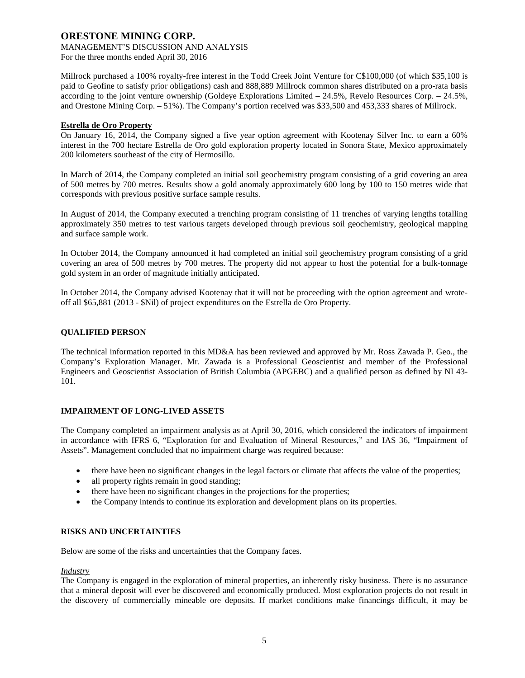Millrock purchased a 100% royalty-free interest in the Todd Creek Joint Venture for C\$100,000 (of which \$35,100 is paid to Geofine to satisfy prior obligations) cash and 888,889 Millrock common shares distributed on a pro-rata basis according to the joint venture ownership (Goldeye Explorations Limited – 24.5%, Revelo Resources Corp. – 24.5%, and Orestone Mining Corp. – 51%). The Company's portion received was \$33,500 and 453,333 shares of Millrock.

## **Estrella de Oro Property**

On January 16, 2014, the Company signed a five year option agreement with Kootenay Silver Inc. to earn a 60% interest in the 700 hectare Estrella de Oro gold exploration property located in Sonora State, Mexico approximately 200 kilometers southeast of the city of Hermosillo.

In March of 2014, the Company completed an initial soil geochemistry program consisting of a grid covering an area of 500 metres by 700 metres. Results show a gold anomaly approximately 600 long by 100 to 150 metres wide that corresponds with previous positive surface sample results.

In August of 2014, the Company executed a trenching program consisting of 11 trenches of varying lengths totalling approximately 350 metres to test various targets developed through previous soil geochemistry, geological mapping and surface sample work.

In October 2014, the Company announced it had completed an initial soil geochemistry program consisting of a grid covering an area of 500 metres by 700 metres. The property did not appear to host the potential for a bulk-tonnage gold system in an order of magnitude initially anticipated.

In October 2014, the Company advised Kootenay that it will not be proceeding with the option agreement and wroteoff all \$65,881 (2013 - \$Nil) of project expenditures on the Estrella de Oro Property.

# **QUALIFIED PERSON**

The technical information reported in this MD&A has been reviewed and approved by Mr. Ross Zawada P. Geo., the Company's Exploration Manager. Mr. Zawada is a Professional Geoscientist and member of the Professional Engineers and Geoscientist Association of British Columbia (APGEBC) and a qualified person as defined by NI 43- 101.

# **IMPAIRMENT OF LONG-LIVED ASSETS**

The Company completed an impairment analysis as at April 30, 2016, which considered the indicators of impairment in accordance with IFRS 6, "Exploration for and Evaluation of Mineral Resources," and IAS 36, "Impairment of Assets". Management concluded that no impairment charge was required because:

- there have been no significant changes in the legal factors or climate that affects the value of the properties;
- all property rights remain in good standing;
- there have been no significant changes in the projections for the properties;
- the Company intends to continue its exploration and development plans on its properties.

# **RISKS AND UNCERTAINTIES**

Below are some of the risks and uncertainties that the Company faces.

#### *Industry*

The Company is engaged in the exploration of mineral properties, an inherently risky business. There is no assurance that a mineral deposit will ever be discovered and economically produced. Most exploration projects do not result in the discovery of commercially mineable ore deposits. If market conditions make financings difficult, it may be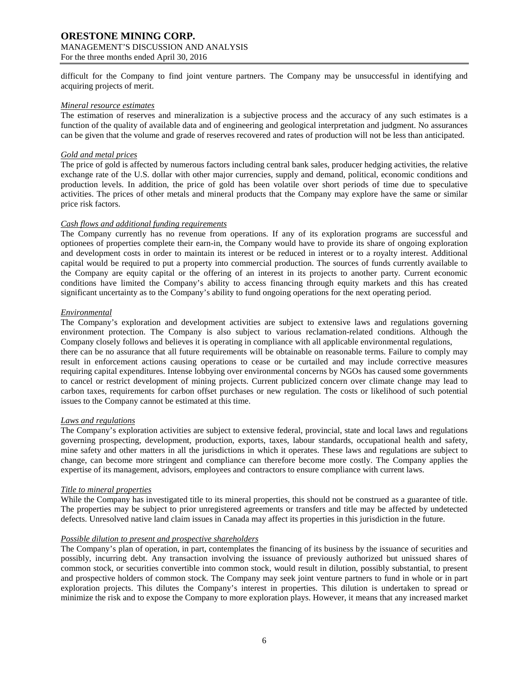# **ORESTONE MINING CORP.** MANAGEMENT'S DISCUSSION AND ANALYSIS

For the three months ended April 30, 2016

difficult for the Company to find joint venture partners. The Company may be unsuccessful in identifying and acquiring projects of merit.

#### *Mineral resource estimates*

The estimation of reserves and mineralization is a subjective process and the accuracy of any such estimates is a function of the quality of available data and of engineering and geological interpretation and judgment. No assurances can be given that the volume and grade of reserves recovered and rates of production will not be less than anticipated.

## *Gold and metal prices*

The price of gold is affected by numerous factors including central bank sales, producer hedging activities, the relative exchange rate of the U.S. dollar with other major currencies, supply and demand, political, economic conditions and production levels. In addition, the price of gold has been volatile over short periods of time due to speculative activities. The prices of other metals and mineral products that the Company may explore have the same or similar price risk factors.

## *Cash flows and additional funding requirements*

The Company currently has no revenue from operations. If any of its exploration programs are successful and optionees of properties complete their earn-in, the Company would have to provide its share of ongoing exploration and development costs in order to maintain its interest or be reduced in interest or to a royalty interest. Additional capital would be required to put a property into commercial production. The sources of funds currently available to the Company are equity capital or the offering of an interest in its projects to another party. Current economic conditions have limited the Company's ability to access financing through equity markets and this has created significant uncertainty as to the Company's ability to fund ongoing operations for the next operating period.

## *Environmental*

The Company's exploration and development activities are subject to extensive laws and regulations governing environment protection. The Company is also subject to various reclamation-related conditions. Although the Company closely follows and believes it is operating in compliance with all applicable environmental regulations, there can be no assurance that all future requirements will be obtainable on reasonable terms. Failure to comply may result in enforcement actions causing operations to cease or be curtailed and may include corrective measures requiring capital expenditures. Intense lobbying over environmental concerns by NGOs has caused some governments to cancel or restrict development of mining projects. Current publicized concern over climate change may lead to carbon taxes, requirements for carbon offset purchases or new regulation. The costs or likelihood of such potential issues to the Company cannot be estimated at this time.

#### *Laws and regulations*

The Company's exploration activities are subject to extensive federal, provincial, state and local laws and regulations governing prospecting, development, production, exports, taxes, labour standards, occupational health and safety, mine safety and other matters in all the jurisdictions in which it operates. These laws and regulations are subject to change, can become more stringent and compliance can therefore become more costly. The Company applies the expertise of its management, advisors, employees and contractors to ensure compliance with current laws.

# *Title to mineral properties*

While the Company has investigated title to its mineral properties, this should not be construed as a guarantee of title. The properties may be subject to prior unregistered agreements or transfers and title may be affected by undetected defects. Unresolved native land claim issues in Canada may affect its properties in this jurisdiction in the future.

# *Possible dilution to present and prospective shareholders*

The Company's plan of operation, in part, contemplates the financing of its business by the issuance of securities and possibly, incurring debt. Any transaction involving the issuance of previously authorized but unissued shares of common stock, or securities convertible into common stock, would result in dilution, possibly substantial, to present and prospective holders of common stock. The Company may seek joint venture partners to fund in whole or in part exploration projects. This dilutes the Company's interest in properties. This dilution is undertaken to spread or minimize the risk and to expose the Company to more exploration plays. However, it means that any increased market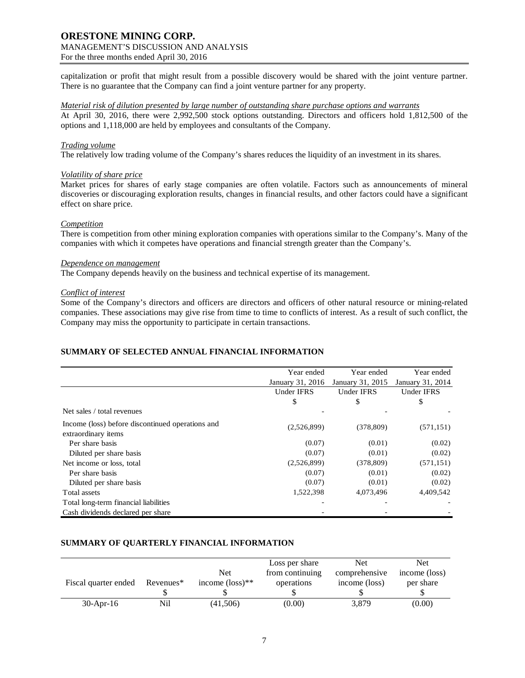# **ORESTONE MINING CORP.** MANAGEMENT'S DISCUSSION AND ANALYSIS

For the three months ended April 30, 2016

capitalization or profit that might result from a possible discovery would be shared with the joint venture partner. There is no guarantee that the Company can find a joint venture partner for any property.

#### *Material risk of dilution presented by large number of outstanding share purchase options and warrants*

At April 30, 2016, there were 2,992,500 stock options outstanding. Directors and officers hold 1,812,500 of the options and 1,118,000 are held by employees and consultants of the Company.

## *Trading volume*

The relatively low trading volume of the Company's shares reduces the liquidity of an investment in its shares.

## *Volatility of share price*

Market prices for shares of early stage companies are often volatile. Factors such as announcements of mineral discoveries or discouraging exploration results, changes in financial results, and other factors could have a significant effect on share price.

## *Competition*

There is competition from other mining exploration companies with operations similar to the Company's. Many of the companies with which it competes have operations and financial strength greater than the Company's.

## *Dependence on management*

The Company depends heavily on the business and technical expertise of its management.

## *Conflict of interest*

Some of the Company's directors and officers are directors and officers of other natural resource or mining-related companies. These associations may give rise from time to time to conflicts of interest. As a result of such conflict, the Company may miss the opportunity to participate in certain transactions.

# **SUMMARY OF SELECTED ANNUAL FINANCIAL INFORMATION**

|                                                  | Year ended        | Year ended        | Year ended        |
|--------------------------------------------------|-------------------|-------------------|-------------------|
|                                                  | January 31, 2016  | January 31, 2015  | January 31, 2014  |
|                                                  | <b>Under IFRS</b> | <b>Under IFRS</b> | <b>Under IFRS</b> |
|                                                  | \$                | \$                | \$                |
| Net sales / total revenues                       |                   |                   |                   |
| Income (loss) before discontinued operations and | (2,526,899)       | (378, 809)        | (571, 151)        |
| extraordinary items                              |                   |                   |                   |
| Per share basis                                  | (0.07)            | (0.01)            | (0.02)            |
| Diluted per share basis                          | (0.07)            | (0.01)            | (0.02)            |
| Net income or loss, total                        | (2,526,899)       | (378, 809)        | (571, 151)        |
| Per share basis                                  | (0.07)            | (0.01)            | (0.02)            |
| Diluted per share basis                          | (0.07)            | (0.01)            | (0.02)            |
| Total assets                                     | 1,522,398         | 4,073,496         | 4,409,542         |
| Total long-term financial liabilities            |                   |                   |                   |
| Cash dividends declared per share                |                   |                   |                   |

# **SUMMARY OF QUARTERLY FINANCIAL INFORMATION**

| Fiscal quarter ended | Revenues* | <b>Net</b><br>income $(\text{loss})^{**}$ | Loss per share<br>from continuing<br>operations | Net<br>comprehensive<br>income (loss) | Net<br>income (loss)<br>per share |
|----------------------|-----------|-------------------------------------------|-------------------------------------------------|---------------------------------------|-----------------------------------|
|                      |           |                                           |                                                 |                                       |                                   |
| $30$ -Apr-16         | Nil       | (41,506)                                  | (0.00)                                          | 3,879                                 | (0.00)                            |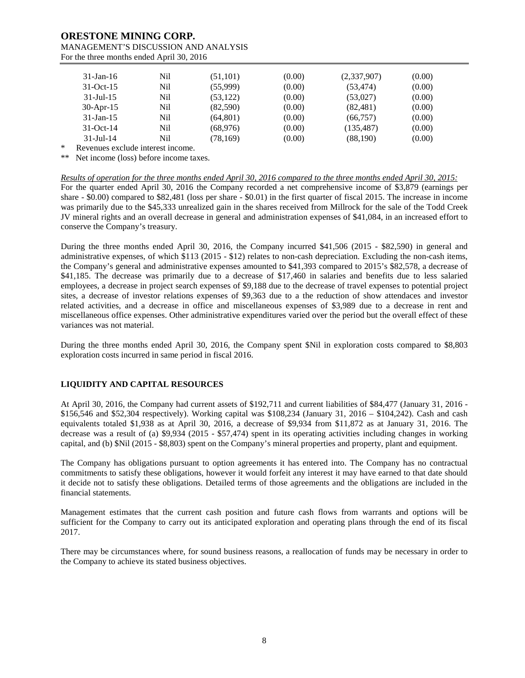| $31$ -Jan-16    | Nil | (51, 101) | (0.00) | (2,337,907) | (0.00) |
|-----------------|-----|-----------|--------|-------------|--------|
| $31-Oct-15$     | Nil | (55,999)  | (0.00) | (53, 474)   | (0.00) |
| $31$ -Jul-15    | Nil | (53, 122) | (0.00) | (53,027)    | (0.00) |
| $30$ -Apr-15    | Nil | (82,590)  | (0.00) | (82, 481)   | (0.00) |
| $31 - Jan - 15$ | Nil | (64, 801) | (0.00) | (66,757)    | (0.00) |
| $31-Oct-14$     | Nil | (68,976)  | (0.00) | (135, 487)  | (0.00) |
| $31 -$ Jul - 14 | Nil | (78, 169) | (0.00) | (88,190)    | (0.00) |

Revenues exclude interest income.

\*\* Net income (loss) before income taxes.

#### *Results of operation for the three months ended April 30, 2016 compared to the three months ended April 30, 2015:*

For the quarter ended April 30, 2016 the Company recorded a net comprehensive income of \$3,879 (earnings per share - \$0.00) compared to \$82,481 (loss per share - \$0.01) in the first quarter of fiscal 2015. The increase in income was primarily due to the \$45,333 unrealized gain in the shares received from Millrock for the sale of the Todd Creek JV mineral rights and an overall decrease in general and administration expenses of \$41,084, in an increased effort to conserve the Company's treasury.

During the three months ended April 30, 2016, the Company incurred \$41,506 (2015 - \$82,590) in general and administrative expenses, of which \$113 (2015 - \$12) relates to non-cash depreciation. Excluding the non-cash items, the Company's general and administrative expenses amounted to \$41,393 compared to 2015's \$82,578, a decrease of \$41,185. The decrease was primarily due to a decrease of \$17,460 in salaries and benefits due to less salaried employees, a decrease in project search expenses of \$9,188 due to the decrease of travel expenses to potential project sites, a decrease of investor relations expenses of \$9,363 due to a the reduction of show attendaces and investor related activities, and a decrease in office and miscellaneous expenses of \$3,989 due to a decrease in rent and miscellaneous office expenses. Other administrative expenditures varied over the period but the overall effect of these variances was not material.

During the three months ended April 30, 2016, the Company spent \$Nil in exploration costs compared to \$8,803 exploration costs incurred in same period in fiscal 2016.

# **LIQUIDITY AND CAPITAL RESOURCES**

At April 30, 2016, the Company had current assets of \$192,711 and current liabilities of \$84,477 (January 31, 2016 - \$156,546 and \$52,304 respectively). Working capital was \$108,234 (January 31, 2016 – \$104,242). Cash and cash equivalents totaled \$1,938 as at April 30, 2016, a decrease of \$9,934 from \$11,872 as at January 31, 2016. The decrease was a result of (a) \$9,934 (2015 - \$57,474) spent in its operating activities including changes in working capital, and (b) \$Nil (2015 - \$8,803) spent on the Company's mineral properties and property, plant and equipment.

The Company has obligations pursuant to option agreements it has entered into. The Company has no contractual commitments to satisfy these obligations, however it would forfeit any interest it may have earned to that date should it decide not to satisfy these obligations. Detailed terms of those agreements and the obligations are included in the financial statements.

Management estimates that the current cash position and future cash flows from warrants and options will be sufficient for the Company to carry out its anticipated exploration and operating plans through the end of its fiscal 2017.

There may be circumstances where, for sound business reasons, a reallocation of funds may be necessary in order to the Company to achieve its stated business objectives.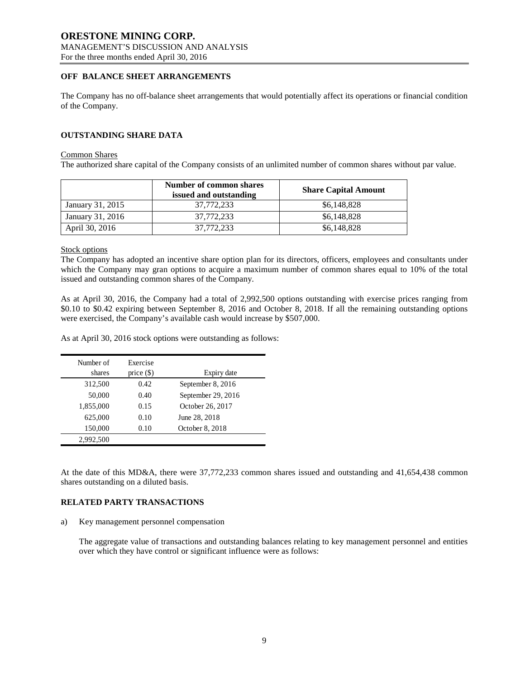# **OFF BALANCE SHEET ARRANGEMENTS**

The Company has no off-balance sheet arrangements that would potentially affect its operations or financial condition of the Company.

# **OUTSTANDING SHARE DATA**

#### Common Shares

The authorized share capital of the Company consists of an unlimited number of common shares without par value.

|                  | Number of common shares<br>issued and outstanding | <b>Share Capital Amount</b> |
|------------------|---------------------------------------------------|-----------------------------|
| January 31, 2015 | 37,772,233                                        | \$6,148,828                 |
| January 31, 2016 | 37,772,233                                        | \$6,148,828                 |
| April 30, 2016   | 37,772,233                                        | \$6,148,828                 |

Stock options

The Company has adopted an incentive share option plan for its directors, officers, employees and consultants under which the Company may gran options to acquire a maximum number of common shares equal to 10% of the total issued and outstanding common shares of the Company.

As at April 30, 2016, the Company had a total of 2,992,500 options outstanding with exercise prices ranging from \$0.10 to \$0.42 expiring between September 8, 2016 and October 8, 2018. If all the remaining outstanding options were exercised, the Company's available cash would increase by \$507,000.

As at April 30, 2016 stock options were outstanding as follows:

| Number of<br>shares | Exercise<br>price $(\$)$ | Expiry date        |
|---------------------|--------------------------|--------------------|
| 312,500             | 0.42                     | September 8, 2016  |
| 50,000              | 0.40                     | September 29, 2016 |
| 1,855,000           | 0.15                     | October 26, 2017   |
| 625,000             | 0.10                     | June 28, 2018      |
| 150,000             | 0.10                     | October 8, 2018    |
| 2,992,500           |                          |                    |

At the date of this MD&A, there were 37,772,233 common shares issued and outstanding and 41,654,438 common shares outstanding on a diluted basis.

# **RELATED PARTY TRANSACTIONS**

a) Key management personnel compensation

The aggregate value of transactions and outstanding balances relating to key management personnel and entities over which they have control or significant influence were as follows: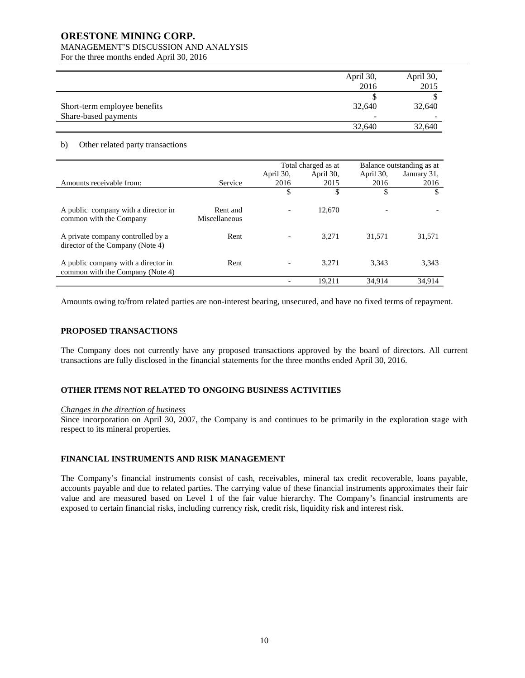# **ORESTONE MINING CORP.**

# MANAGEMENT'S DISCUSSION AND ANALYSIS

For the three months ended April 30, 2016

|                              | April 30,                | April 30, |
|------------------------------|--------------------------|-----------|
|                              | 2016                     | 2015      |
|                              |                          |           |
| Short-term employee benefits | 32,640                   | 32,640    |
| Share-based payments         | $\overline{\phantom{0}}$ | -         |
|                              | 32,640                   | 32,640    |

## b) Other related party transactions

|                                     |               | Total charged as at |           | Balance outstanding as at |             |
|-------------------------------------|---------------|---------------------|-----------|---------------------------|-------------|
|                                     |               | April 30,           | April 30, | April 30,                 | January 31, |
| Amounts receivable from:            | Service       | 2016                | 2015      | 2016                      | 2016        |
|                                     |               | \$                  | \$        | \$                        | \$          |
|                                     |               |                     |           |                           |             |
| A public company with a director in | Rent and      |                     | 12,670    |                           |             |
| common with the Company             | Miscellaneous |                     |           |                           |             |
|                                     |               |                     |           |                           |             |
| A private company controlled by a   | Rent          |                     | 3.271     | 31.571                    | 31,571      |
| director of the Company (Note 4)    |               |                     |           |                           |             |
|                                     |               |                     |           |                           |             |
| A public company with a director in | Rent          |                     | 3.271     | 3.343                     | 3,343       |
| common with the Company (Note 4)    |               |                     |           |                           |             |
|                                     |               |                     | 19,211    | 34,914                    | 34,914      |
|                                     |               |                     |           |                           |             |

Amounts owing to/from related parties are non-interest bearing, unsecured, and have no fixed terms of repayment.

# **PROPOSED TRANSACTIONS**

The Company does not currently have any proposed transactions approved by the board of directors. All current transactions are fully disclosed in the financial statements for the three months ended April 30, 2016.

# **OTHER ITEMS NOT RELATED TO ONGOING BUSINESS ACTIVITIES**

# *Changes in the direction of business*

Since incorporation on April 30, 2007, the Company is and continues to be primarily in the exploration stage with respect to its mineral properties.

# **FINANCIAL INSTRUMENTS AND RISK MANAGEMENT**

The Company's financial instruments consist of cash, receivables, mineral tax credit recoverable, loans payable, accounts payable and due to related parties. The carrying value of these financial instruments approximates their fair value and are measured based on Level 1 of the fair value hierarchy. The Company's financial instruments are exposed to certain financial risks, including currency risk, credit risk, liquidity risk and interest risk.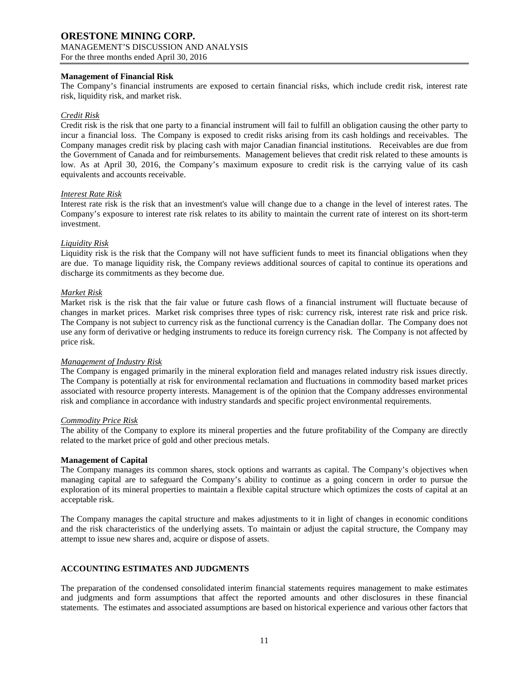## **Management of Financial Risk**

The Company's financial instruments are exposed to certain financial risks, which include credit risk, interest rate risk, liquidity risk, and market risk.

## *Credit Risk*

Credit risk is the risk that one party to a financial instrument will fail to fulfill an obligation causing the other party to incur a financial loss. The Company is exposed to credit risks arising from its cash holdings and receivables. The Company manages credit risk by placing cash with major Canadian financial institutions. Receivables are due from the Government of Canada and for reimbursements. Management believes that credit risk related to these amounts is low. As at April 30, 2016, the Company's maximum exposure to credit risk is the carrying value of its cash equivalents and accounts receivable.

#### *Interest Rate Risk*

Interest rate risk is the risk that an investment's value will change due to a change in the level of interest rates. The Company's exposure to interest rate risk relates to its ability to maintain the current rate of interest on its short-term investment.

## *Liquidity Risk*

Liquidity risk is the risk that the Company will not have sufficient funds to meet its financial obligations when they are due. To manage liquidity risk, the Company reviews additional sources of capital to continue its operations and discharge its commitments as they become due.

## *Market Risk*

Market risk is the risk that the fair value or future cash flows of a financial instrument will fluctuate because of changes in market prices. Market risk comprises three types of risk: currency risk, interest rate risk and price risk. The Company is not subject to currency risk as the functional currency is the Canadian dollar. The Company does not use any form of derivative or hedging instruments to reduce its foreign currency risk. The Company is not affected by price risk.

#### *Management of Industry Risk*

The Company is engaged primarily in the mineral exploration field and manages related industry risk issues directly. The Company is potentially at risk for environmental reclamation and fluctuations in commodity based market prices associated with resource property interests. Management is of the opinion that the Company addresses environmental risk and compliance in accordance with industry standards and specific project environmental requirements.

#### *Commodity Price Risk*

The ability of the Company to explore its mineral properties and the future profitability of the Company are directly related to the market price of gold and other precious metals.

#### **Management of Capital**

The Company manages its common shares, stock options and warrants as capital. The Company's objectives when managing capital are to safeguard the Company's ability to continue as a going concern in order to pursue the exploration of its mineral properties to maintain a flexible capital structure which optimizes the costs of capital at an acceptable risk.

The Company manages the capital structure and makes adjustments to it in light of changes in economic conditions and the risk characteristics of the underlying assets. To maintain or adjust the capital structure, the Company may attempt to issue new shares and, acquire or dispose of assets.

# **ACCOUNTING ESTIMATES AND JUDGMENTS**

The preparation of the condensed consolidated interim financial statements requires management to make estimates and judgments and form assumptions that affect the reported amounts and other disclosures in these financial statements. The estimates and associated assumptions are based on historical experience and various other factors that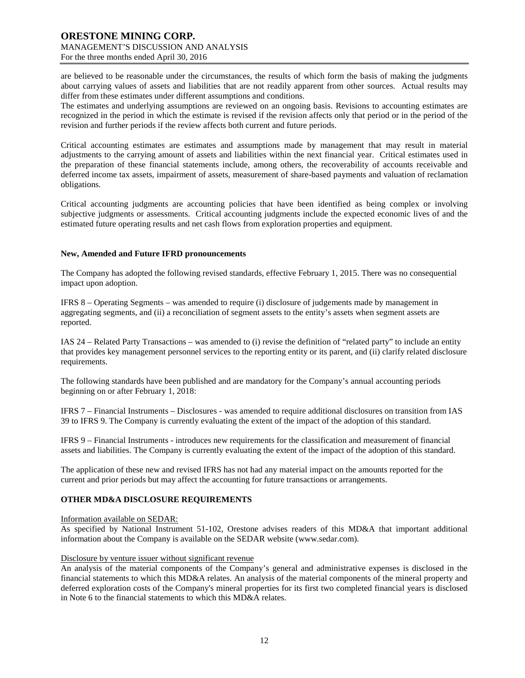are believed to be reasonable under the circumstances, the results of which form the basis of making the judgments about carrying values of assets and liabilities that are not readily apparent from other sources. Actual results may differ from these estimates under different assumptions and conditions.

The estimates and underlying assumptions are reviewed on an ongoing basis. Revisions to accounting estimates are recognized in the period in which the estimate is revised if the revision affects only that period or in the period of the revision and further periods if the review affects both current and future periods.

Critical accounting estimates are estimates and assumptions made by management that may result in material adjustments to the carrying amount of assets and liabilities within the next financial year. Critical estimates used in the preparation of these financial statements include, among others, the recoverability of accounts receivable and deferred income tax assets, impairment of assets, measurement of share-based payments and valuation of reclamation obligations.

Critical accounting judgments are accounting policies that have been identified as being complex or involving subjective judgments or assessments. Critical accounting judgments include the expected economic lives of and the estimated future operating results and net cash flows from exploration properties and equipment.

#### **New, Amended and Future IFRD pronouncements**

The Company has adopted the following revised standards, effective February 1, 2015. There was no consequential impact upon adoption.

IFRS 8 – Operating Segments – was amended to require (i) disclosure of judgements made by management in aggregating segments, and (ii) a reconciliation of segment assets to the entity's assets when segment assets are reported.

IAS 24 – Related Party Transactions – was amended to (i) revise the definition of "related party" to include an entity that provides key management personnel services to the reporting entity or its parent, and (ii) clarify related disclosure requirements.

The following standards have been published and are mandatory for the Company's annual accounting periods beginning on or after February 1, 2018:

IFRS 7 – Financial Instruments – Disclosures - was amended to require additional disclosures on transition from IAS 39 to IFRS 9. The Company is currently evaluating the extent of the impact of the adoption of this standard.

IFRS 9 – Financial Instruments - introduces new requirements for the classification and measurement of financial assets and liabilities. The Company is currently evaluating the extent of the impact of the adoption of this standard.

The application of these new and revised IFRS has not had any material impact on the amounts reported for the current and prior periods but may affect the accounting for future transactions or arrangements.

# **OTHER MD&A DISCLOSURE REQUIREMENTS**

Information available on SEDAR:

As specified by National Instrument 51-102, Orestone advises readers of this MD&A that important additional information about the Company is available on the SEDAR website (www.sedar.com).

#### Disclosure by venture issuer without significant revenue

An analysis of the material components of the Company's general and administrative expenses is disclosed in the financial statements to which this MD&A relates. An analysis of the material components of the mineral property and deferred exploration costs of the Company's mineral properties for its first two completed financial years is disclosed in Note 6 to the financial statements to which this MD&A relates.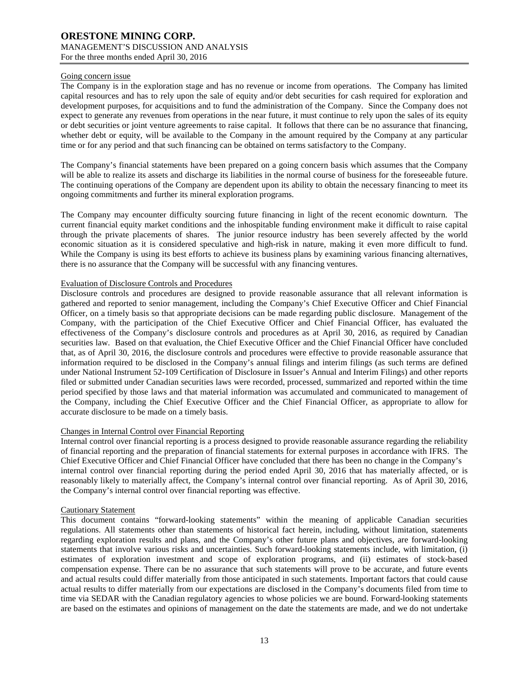#### Going concern issue

The Company is in the exploration stage and has no revenue or income from operations. The Company has limited capital resources and has to rely upon the sale of equity and/or debt securities for cash required for exploration and development purposes, for acquisitions and to fund the administration of the Company. Since the Company does not expect to generate any revenues from operations in the near future, it must continue to rely upon the sales of its equity or debt securities or joint venture agreements to raise capital. It follows that there can be no assurance that financing, whether debt or equity, will be available to the Company in the amount required by the Company at any particular time or for any period and that such financing can be obtained on terms satisfactory to the Company.

The Company's financial statements have been prepared on a going concern basis which assumes that the Company will be able to realize its assets and discharge its liabilities in the normal course of business for the foreseeable future. The continuing operations of the Company are dependent upon its ability to obtain the necessary financing to meet its ongoing commitments and further its mineral exploration programs.

The Company may encounter difficulty sourcing future financing in light of the recent economic downturn. The current financial equity market conditions and the inhospitable funding environment make it difficult to raise capital through the private placements of shares. The junior resource industry has been severely affected by the world economic situation as it is considered speculative and high-risk in nature, making it even more difficult to fund. While the Company is using its best efforts to achieve its business plans by examining various financing alternatives, there is no assurance that the Company will be successful with any financing ventures.

## Evaluation of Disclosure Controls and Procedures

Disclosure controls and procedures are designed to provide reasonable assurance that all relevant information is gathered and reported to senior management, including the Company's Chief Executive Officer and Chief Financial Officer, on a timely basis so that appropriate decisions can be made regarding public disclosure. Management of the Company, with the participation of the Chief Executive Officer and Chief Financial Officer, has evaluated the effectiveness of the Company's disclosure controls and procedures as at April 30, 2016, as required by Canadian securities law. Based on that evaluation, the Chief Executive Officer and the Chief Financial Officer have concluded that, as of April 30, 2016, the disclosure controls and procedures were effective to provide reasonable assurance that information required to be disclosed in the Company's annual filings and interim filings (as such terms are defined under National Instrument 52-109 Certification of Disclosure in Issuer's Annual and Interim Filings) and other reports filed or submitted under Canadian securities laws were recorded, processed, summarized and reported within the time period specified by those laws and that material information was accumulated and communicated to management of the Company, including the Chief Executive Officer and the Chief Financial Officer, as appropriate to allow for accurate disclosure to be made on a timely basis.

# Changes in Internal Control over Financial Reporting

Internal control over financial reporting is a process designed to provide reasonable assurance regarding the reliability of financial reporting and the preparation of financial statements for external purposes in accordance with IFRS. The Chief Executive Officer and Chief Financial Officer have concluded that there has been no change in the Company's internal control over financial reporting during the period ended April 30, 2016 that has materially affected, or is reasonably likely to materially affect, the Company's internal control over financial reporting. As of April 30, 2016, the Company's internal control over financial reporting was effective.

#### Cautionary Statement

This document contains "forward-looking statements" within the meaning of applicable Canadian securities regulations. All statements other than statements of historical fact herein, including, without limitation, statements regarding exploration results and plans, and the Company's other future plans and objectives, are forward-looking statements that involve various risks and uncertainties. Such forward-looking statements include, with limitation, (i) estimates of exploration investment and scope of exploration programs, and (ii) estimates of stock-based compensation expense. There can be no assurance that such statements will prove to be accurate, and future events and actual results could differ materially from those anticipated in such statements. Important factors that could cause actual results to differ materially from our expectations are disclosed in the Company's documents filed from time to time via SEDAR with the Canadian regulatory agencies to whose policies we are bound. Forward-looking statements are based on the estimates and opinions of management on the date the statements are made, and we do not undertake